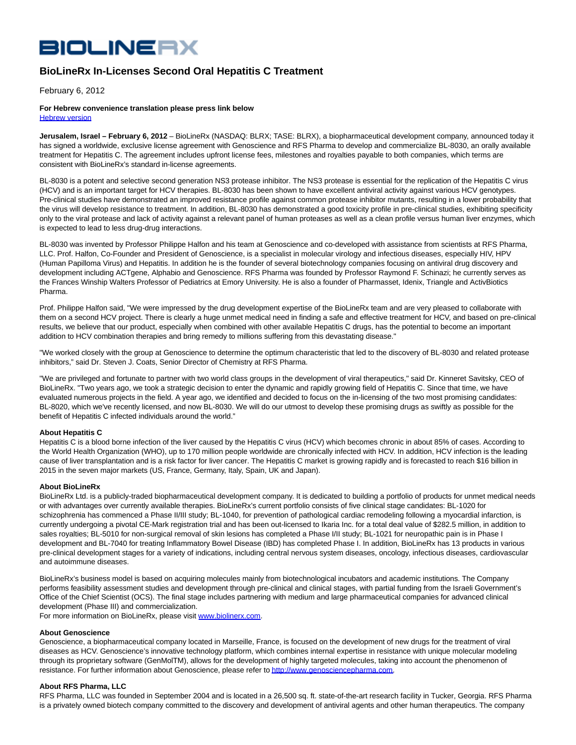# **BIOLINERX**

# **BioLineRx In-Licenses Second Oral Hepatitis C Treatment**

February 6, 2012

#### **For Hebrew convenience translation please press link below** [Hebrew version](http://phx.corporate-ir.net/External.File?item=UGFyZW50SUQ9MTQ5MjM0fENoaWxkSUQ9LTF8VHlwZT0z&t=1)

**Jerusalem, Israel – February 6, 2012** – BioLineRx (NASDAQ: BLRX; TASE: BLRX), a biopharmaceutical development company, announced today it has signed a worldwide, exclusive license agreement with Genoscience and RFS Pharma to develop and commercialize BL-8030, an orally available treatment for Hepatitis C. The agreement includes upfront license fees, milestones and royalties payable to both companies, which terms are consistent with BioLineRx's standard in-license agreements.

BL-8030 is a potent and selective second generation NS3 protease inhibitor. The NS3 protease is essential for the replication of the Hepatitis C virus (HCV) and is an important target for HCV therapies. BL-8030 has been shown to have excellent antiviral activity against various HCV genotypes. Pre-clinical studies have demonstrated an improved resistance profile against common protease inhibitor mutants, resulting in a lower probability that the virus will develop resistance to treatment. In addition, BL-8030 has demonstrated a good toxicity profile in pre-clinical studies, exhibiting specificity only to the viral protease and lack of activity against a relevant panel of human proteases as well as a clean profile versus human liver enzymes, which is expected to lead to less drug-drug interactions.

BL-8030 was invented by Professor Philippe Halfon and his team at Genoscience and co-developed with assistance from scientists at RFS Pharma, LLC. Prof. Halfon, Co-Founder and President of Genoscience, is a specialist in molecular virology and infectious diseases, especially HIV, HPV (Human Papilloma Virus) and Hepatitis. In addition he is the founder of several biotechnology companies focusing on antiviral drug discovery and development including ACTgene, Alphabio and Genoscience. RFS Pharma was founded by Professor Raymond F. Schinazi; he currently serves as the Frances Winship Walters Professor of Pediatrics at Emory University. He is also a founder of Pharmasset, Idenix, Triangle and ActivBiotics Pharma.

Prof. Philippe Halfon said, "We were impressed by the drug development expertise of the BioLineRx team and are very pleased to collaborate with them on a second HCV project. There is clearly a huge unmet medical need in finding a safe and effective treatment for HCV, and based on pre-clinical results, we believe that our product, especially when combined with other available Hepatitis C drugs, has the potential to become an important addition to HCV combination therapies and bring remedy to millions suffering from this devastating disease."

"We worked closely with the group at Genoscience to determine the optimum characteristic that led to the discovery of BL-8030 and related protease inhibitors," said Dr. Steven J. Coats, Senior Director of Chemistry at RFS Pharma.

"We are privileged and fortunate to partner with two world class groups in the development of viral therapeutics," said Dr. Kinneret Savitsky, CEO of BioLineRx. "Two years ago, we took a strategic decision to enter the dynamic and rapidly growing field of Hepatitis C. Since that time, we have evaluated numerous projects in the field. A year ago, we identified and decided to focus on the in-licensing of the two most promising candidates: BL-8020, which we've recently licensed, and now BL-8030. We will do our utmost to develop these promising drugs as swiftly as possible for the benefit of Hepatitis C infected individuals around the world."

## **About Hepatitis C**

Hepatitis C is a blood borne infection of the liver caused by the Hepatitis C virus (HCV) which becomes chronic in about 85% of cases. According to the World Health Organization (WHO), up to 170 million people worldwide are chronically infected with HCV. In addition, HCV infection is the leading cause of liver transplantation and is a risk factor for liver cancer. The Hepatitis C market is growing rapidly and is forecasted to reach \$16 billion in 2015 in the seven major markets (US, France, Germany, Italy, Spain, UK and Japan).

## **About BioLineRx**

BioLineRx Ltd. is a publicly-traded biopharmaceutical development company. It is dedicated to building a portfolio of products for unmet medical needs or with advantages over currently available therapies. BioLineRx's current portfolio consists of five clinical stage candidates: BL-1020 for schizophrenia has commenced a Phase II/III study; BL-1040, for prevention of pathological cardiac remodeling following a myocardial infarction, is currently undergoing a pivotal CE-Mark registration trial and has been out-licensed to Ikaria Inc. for a total deal value of \$282.5 million, in addition to sales royalties; BL-5010 for non-surgical removal of skin lesions has completed a Phase I/II study; BL-1021 for neuropathic pain is in Phase I development and BL-7040 for treating Inflammatory Bowel Disease (IBD) has completed Phase I. In addition, BioLineRx has 13 products in various pre-clinical development stages for a variety of indications, including central nervous system diseases, oncology, infectious diseases, cardiovascular and autoimmune diseases.

BioLineRx's business model is based on acquiring molecules mainly from biotechnological incubators and academic institutions. The Company performs feasibility assessment studies and development through pre-clinical and clinical stages, with partial funding from the Israeli Government's Office of the Chief Scientist (OCS). The final stage includes partnering with medium and large pharmaceutical companies for advanced clinical development (Phase III) and commercialization.

For more information on BioLineRx, please visit [www.biolinerx.com.](http://www.biolinerx.com/)

## **About Genoscience**

Genoscience, a biopharmaceutical company located in Marseille, France, is focused on the development of new drugs for the treatment of viral diseases as HCV. Genoscience's innovative technology platform, which combines internal expertise in resistance with unique molecular modeling through its proprietary software (GenMolTM), allows for the development of highly targeted molecules, taking into account the phenomenon of resistance. For further information about Genoscience, please refer t[o http://www.genosciencepharma.com.](http://www.genosciencepharma.com/) 

## **About RFS Pharma, LLC**

RFS Pharma, LLC was founded in September 2004 and is located in a 26,500 sq. ft. state-of-the-art research facility in Tucker, Georgia. RFS Pharma is a privately owned biotech company committed to the discovery and development of antiviral agents and other human therapeutics. The company